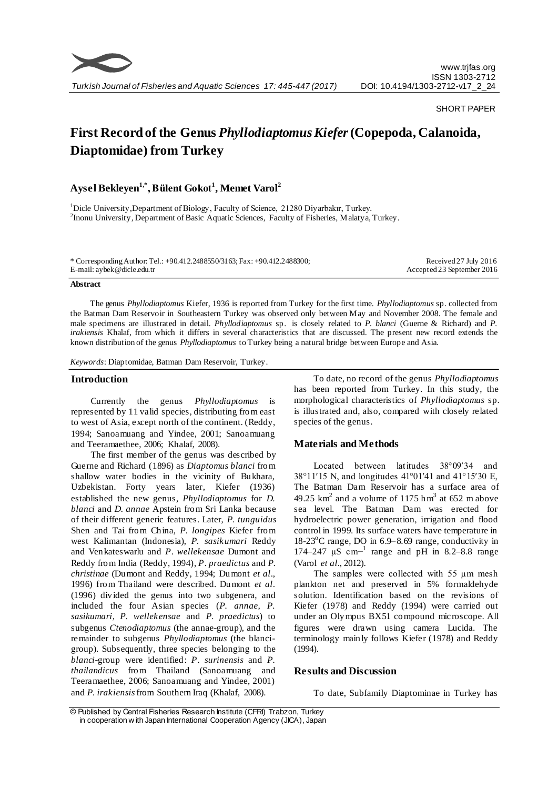

#### SHORT PAPER

# **First Record of the Genus** *Phyllodiaptomus Kiefer***(Copepoda, Calanoida, Diaptomidae) from Turkey**

# **Aysel Bekleyen1,\* , Bülent Gokot<sup>1</sup> , Memet Varol<sup>2</sup>**

<sup>1</sup>Dicle University,Department of Biology, Faculty of Science, 21280 Diyarbakır, Turkey. <sup>2</sup>Inonu University, Department of Basic Aquatic Sciences, Faculty of Fisheries, Malatya, Turkey.

\* Corresponding Author: Tel.: +90.412.2488550/3163; Fax: +90.412.2488300; E-mail: aybek@dicle.edu.tr

Received 27 July 2016 Accepted 23 September 2016

#### **Abstract**

The genus *Phyllodiaptomus* Kiefer, 1936 is reported from Turkey for the first time. *Phyllodiaptomus* sp. collected from the Batman Dam Reservoir in Southeastern Turkey was observed only between May and November 2008. The female and male specimens are illustrated in detail. *Phyllodiaptomus* sp. is closely related to *P. blanci* (Guerne & Richard) and *P. irakiensis* Khalaf, from which it differs in several characteristics that are discussed. The present new record extends the known distribution of the genus *Phyllodiaptomus* to Turkey being a natural bridge between Europe and Asia.

*Keywords*: Diaptomidae, Batman Dam Reservoir, Turkey.

#### **Introduction**

Currently the genus *Phyllodiaptomus* is represented by 11 valid species, distributing from east to west of Asia, except north of the continent. (Reddy, 1994; Sanoamuang and Yindee, 2001; Sanoamuang and Teeramaethee, 2006; Khalaf, 2008).

The first member of the genus was described by Guerne and Richard (1896) as *Diaptomus blanci* from shallow water bodies in the vicinity of Bukhara, Uzbekistan. Forty years later, Kiefer (1936) established the new genus, *Phyllodiaptomus* for *D. blanci* and *D. annae* Apstein from Sri Lanka because of their different generic features. Later, *P. tunguidus*  Shen and Tai from China, *P. longipes* Kiefer from west Kalimantan (Indonesia), *P. sasikumari* Reddy and Venkateswarlu and *P. wellekensae* Dumont and Reddy from India (Reddy, 1994), *P. praedictus* and *P. christinae* (Dumont and Reddy, 1994; Dumont *et al*., 1996) from Thailand were described. Dumont *et al*. (1996) divided the genus into two subgenera, and included the four Asian species (*P. annae, P. sasikumari, P. wellekensae* and *P. praedictus*) to subgenus *Ctenodiaptomus* (the annae-group), and the remainder to subgenus *Phyllodiaptomus* (the blancigroup). Subsequently, three species belonging to the *blanci*-group were identified: *P. surinensis* and *P. thailandicus* from Thailand (Sanoamuang and Teeramaethee, 2006; Sanoamuang and Yindee, 2001) and *P. irakiensis* from Southern Iraq (Khalaf, 2008).

To date, no record of the genus *Phyllodiaptomus* has been reported from Turkey. In this study, the morphological characteristics of *Phyllodiaptomus* sp. is illustrated and, also, compared with closely related species of the genus.

### **Materials and Methods**

Located between latitudes 38°09′34 and 38°11′15 N, and longitudes 41°01′41 and 41°15′30 E, The Batman Dam Reservoir has a surface area of 49.25  $\text{km}^2$  and a volume of 1175 hm<sup>3</sup> at 652 m above sea level. The Batman Dam was erected for hydroelectric power generation, irrigation and flood control in 1999. Its surface waters have temperature in  $18-23^{\circ}$ C range, DO in 6.9–8.69 range, conductivity in 174–247 μS cm<sup>-1</sup> range and pH in 8.2–8.8 range (Varol *et al*., 2012).

The samples were collected with 55 μm mesh plankton net and preserved in 5% formaldehyde solution. Identification based on the revisions of Kiefer (1978) and Reddy (1994) were carried out under an Olympus BX51 compound microscope. All figures were drawn using camera Lucida. The terminology mainly follows Kiefer (1978) and Reddy (1994).

## **Results and Discussion**

To date, Subfamily Diaptominae in Turkey has

<sup>©</sup> Published by Central Fisheries Research Institute (CFRI) Trabzon, Turkey in cooperation w ith Japan International Cooperation Agency (JICA), Japan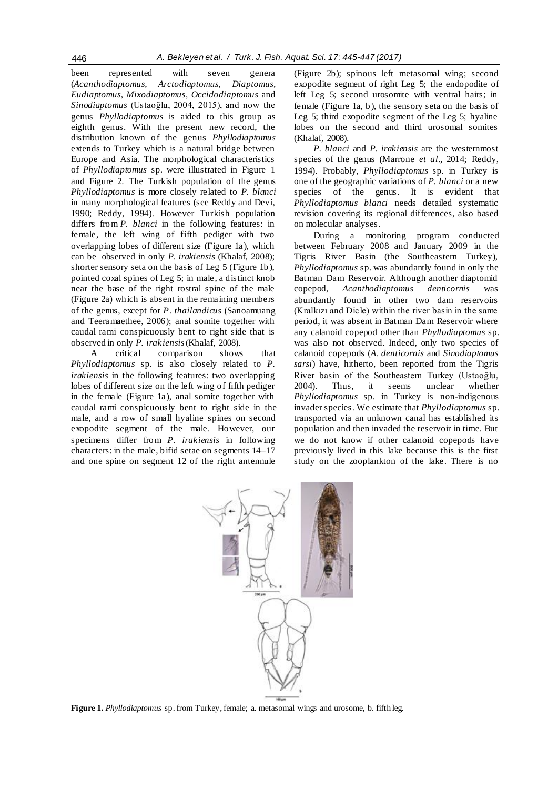been represented with seven genera (*Acanthodiaptomus, Arctodiaptomus*, *Diaptomus, Eudiaptomus, Mixodiaptomus*, *Occidodiaptomus* and *Sinodiaptomus* (Ustaoğlu, 2004, 2015), and now the genus *Phyllodiaptomus* is aided to this group as eighth genus. With the present new record, the distribution known of the genus *Phyllodiaptomus* extends to Turkey which is a natural bridge between Europe and Asia. The morphological characteristics of *Phyllodiaptomus* sp. were illustrated in Figure 1 and Figure 2. The Turkish population of the genus *Phyllodiaptomus* is more closely related to *P. blanci*  in many morphological features (see Reddy and Devi, 1990; Reddy, 1994). However Turkish population differs from *P. blanci* in the following features: in female, the left wing of fifth pediger with two overlapping lobes of different size (Figure 1a), which can be observed in only *P. irakiensis* (Khalaf, 2008); shorter sensory seta on the basis of Leg 5 (Figure 1b), pointed coxal spines of Leg 5; in male, a distinct knob near the base of the right rostral spine of the male (Figure 2a) which is absent in the remaining members of the genus, except for *P. thailandicus* (Sanoamuang and Teeramaethee, 2006); anal somite together with caudal rami conspicuously bent to right side that is

observed in only *P. irakiensis* (Khalaf, 2008). A critical comparison shows that *Phyllodiaptomus* sp. is also closely related to *P. irakiensis* in the following features: two overlapping lobes of different size on the left wing of fifth pediger in the female (Figure 1a), anal somite together with caudal rami conspicuously bent to right side in the male, and a row of small hyaline spines on second exopodite segment of the male. However, our specimens differ from *P. irakiensis* in following characters: in the male, bifid setae on segments 14–17 and one spine on segment 12 of the right antennule

(Figure 2b); spinous left metasomal wing; second exopodite segment of right Leg 5; the endopodite of left Leg 5; second urosomite with ventral hairs; in female (Figure 1a, b), the sensory seta on the basis of Leg 5; third exopodite segment of the Leg 5; hyaline lobes on the second and third urosomal somites (Khalaf, 2008).

*P. blanci* and *P. irakiensis* are the westernmost species of the genus (Marrone *et al*., 2014; Reddy, 1994). Probably, *Phyllodiaptomus* sp. in Turkey is one of the geographic variations of *P. blanci* or a new species of the genus. It is evident that *Phyllodiaptomus blanci* needs detailed systematic revision covering its regional differences, also based on molecular analyses.

During a monitoring program conducted between February 2008 and January 2009 in the Tigris River Basin (the Southeastern Turkey), *Phyllodiaptomus* sp. was abundantly found in only the Batman Dam Reservoir. Although another diaptomid copepod, *Acanthodiaptomus denticornis* was abundantly found in other two dam reservoirs (Kralkızı and Dicle) within the river basin in the same period, it was absent in Batman Dam Reservoir where any calanoid copepod other than *Phyllodiaptomus* sp. was also not observed. Indeed, only two species of calanoid copepods (*A. denticornis* and *Sinodiaptomus sarsi*) have, hitherto, been reported from the Tigris River basin of the Southeastern Turkey (Ustaoğlu, 2004). Thus, it seems unclear whether *Phyllodiaptomus* sp. in Turkey is non-indigenous invader species. We estimate that *Phyllodiaptomus* sp. transported via an unknown canal has established its population and then invaded the reservoir in time. But we do not know if other calanoid copepods have previously lived in this lake because this is the first study on the zooplankton of the lake. There is no



**Figure 1.** *Phyllodiaptomus* sp. from Turkey, female; a. metasomal wings and urosome, b. fifth leg.